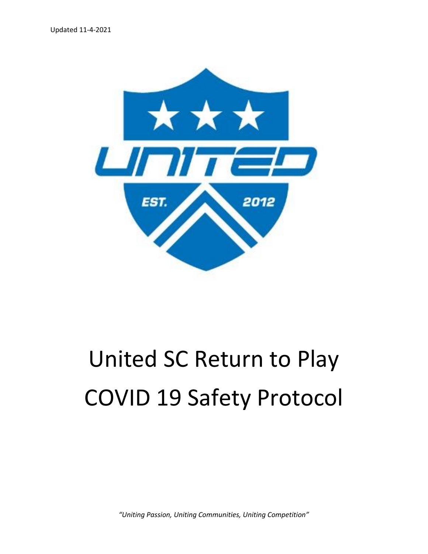

## United SC Return to Play COVID 19 Safety Protocol

*"Uniting Passion, Uniting Communities, Uniting Competition"*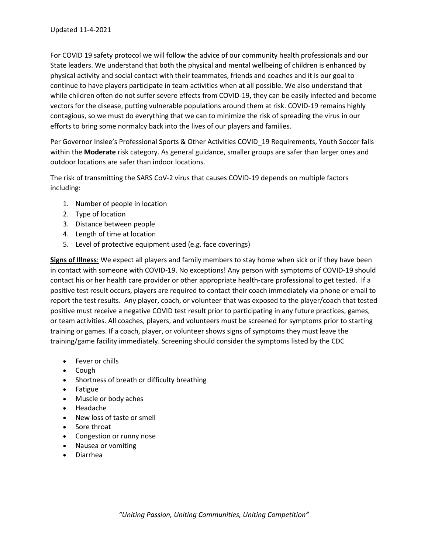For COVID 19 safety protocol we will follow the advice of our community health professionals and our State leaders. We understand that both the physical and mental wellbeing of children is enhanced by physical activity and social contact with their teammates, friends and coaches and it is our goal to continue to have players participate in team activities when at all possible. We also understand that while children often do not suffer severe effects from COVID-19, they can be easily infected and become vectors for the disease, putting vulnerable populations around them at risk. COVID-19 remains highly contagious, so we must do everything that we can to minimize the risk of spreading the virus in our efforts to bring some normalcy back into the lives of our players and families.

Per Governor Inslee's Professional Sports & Other Activities COVID\_19 Requirements, Youth Soccer falls within the **Moderate** risk category. As general guidance, smaller groups are safer than larger ones and outdoor locations are safer than indoor locations.

The risk of transmitting the SARS CoV-2 virus that causes COVID-19 depends on multiple factors including:

- 1. Number of people in location
- 2. Type of location
- 3. Distance between people
- 4. Length of time at location
- 5. Level of protective equipment used (e.g. face coverings)

**Signs of Illness**: We expect all players and family members to stay home when sick or if they have been in contact with someone with COVID-19. No exceptions! Any person with symptoms of COVID-19 should contact his or her health care provider or other appropriate health-care professional to get tested. If a positive test result occurs, players are required to contact their coach immediately via phone or email to report the test results. Any player, coach, or volunteer that was exposed to the player/coach that tested positive must receive a negative COVID test result prior to participating in any future practices, games, or team activities. All coaches, players, and volunteers must be screened for symptoms prior to starting training or games. If a coach, player, or volunteer shows signs of symptoms they must leave the training/game facility immediately. Screening should consider the symptoms listed by the CDC

- Fever or chills
- Cough
- Shortness of breath or difficulty breathing
- Fatigue
- Muscle or body aches
- Headache
- New loss of taste or smell
- Sore throat
- Congestion or runny nose
- Nausea or vomiting
- Diarrhea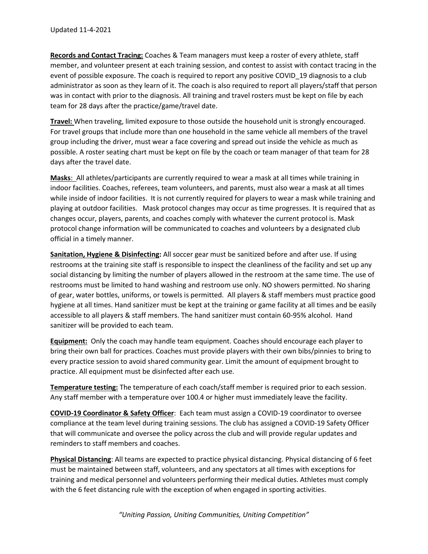**Records and Contact Tracing:** Coaches & Team managers must keep a roster of every athlete, staff member, and volunteer present at each training session, and contest to assist with contact tracing in the event of possible exposure. The coach is required to report any positive COVID\_19 diagnosis to a club administrator as soon as they learn of it. The coach is also required to report all players/staff that person was in contact with prior to the diagnosis. All training and travel rosters must be kept on file by each team for 28 days after the practice/game/travel date.

**Travel:** When traveling, limited exposure to those outside the household unit is strongly encouraged. For travel groups that include more than one household in the same vehicle all members of the travel group including the driver, must wear a face covering and spread out inside the vehicle as much as possible. A roster seating chart must be kept on file by the coach or team manager of that team for 28 days after the travel date.

**Masks**: All athletes/participants are currently required to wear a mask at all times while training in indoor facilities. Coaches, referees, team volunteers, and parents, must also wear a mask at all times while inside of indoor facilities. It is not currently required for players to wear a mask while training and playing at outdoor facilities. Mask protocol changes may occur as time progresses. It is required that as changes occur, players, parents, and coaches comply with whatever the current protocol is. Mask protocol change information will be communicated to coaches and volunteers by a designated club official in a timely manner.

**Sanitation, Hygiene & Disinfecting:** All soccer gear must be sanitized before and after use. If using restrooms at the training site staff is responsible to inspect the cleanliness of the facility and set up any social distancing by limiting the number of players allowed in the restroom at the same time. The use of restrooms must be limited to hand washing and restroom use only. NO showers permitted. No sharing of gear, water bottles, uniforms, or towels is permitted. All players & staff members must practice good hygiene at all times. Hand sanitizer must be kept at the training or game facility at all times and be easily accessible to all players & staff members. The hand sanitizer must contain 60-95% alcohol. Hand sanitizer will be provided to each team.

**Equipment:** Only the coach may handle team equipment. Coaches should encourage each player to bring their own ball for practices. Coaches must provide players with their own bibs/pinnies to bring to every practice session to avoid shared community gear. Limit the amount of equipment brought to practice. All equipment must be disinfected after each use.

**Temperature testing:** The temperature of each coach/staff member is required prior to each session. Any staff member with a temperature over 100.4 or higher must immediately leave the facility.

**COVID-19 Coordinator & Safety Officer**: Each team must assign a COVID-19 coordinator to oversee compliance at the team level during training sessions. The club has assigned a COVID-19 Safety Officer that will communicate and oversee the policy across the club and will provide regular updates and reminders to staff members and coaches.

**Physical Distancing**: All teams are expected to practice physical distancing. Physical distancing of 6 feet must be maintained between staff, volunteers, and any spectators at all times with exceptions for training and medical personnel and volunteers performing their medical duties. Athletes must comply with the 6 feet distancing rule with the exception of when engaged in sporting activities.

*"Uniting Passion, Uniting Communities, Uniting Competition"*